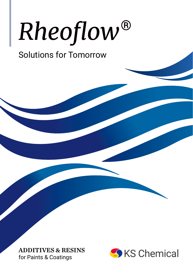# Rheoflow®

## Solutions for Tomorrow

ADDITIVES & RESINS for Paints & Coatings

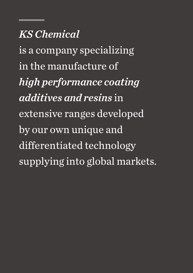## *KS Chemical*

is a company specializing in the manufacture of *high performance coating additives and resins* in extensive ranges developed by our own unique and differentiated technology supplying into global markets.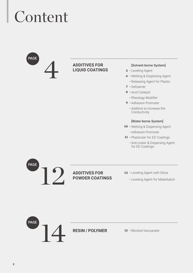## Content



#### **Additives for Liquid Coatings**

#### [Solvent-borne System]

- 5 · Leveling Agent
- **6** Wetting & Dispersing Agent
	- • Releasing Agent for Plastic
- • Defoamer **7**
- • Acid Catalyst **8**
	- Rheology Modifier
- 9 · Adhesion Promoter
	- • Additive to Increase the Conductivity

#### [Water-borne System]

- 10 · Wetting & Dispersing Agent
	- • Adhesion Promoter
- 11 Plasticizer for ED Coatings
	- • Anti-crater & Dispersing Agent for ED Coatings



#### **Additives for Powder Coatings**

- 13 · Leveling Agent with Silica
	- • Leveling Agent for Materbatch



#### **Resin / Polymer**

15 · Blocked Isocyanate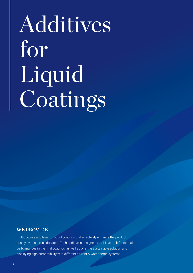# Additives for Liquid Coatings

#### WE PROVIDE

multipurpose additives for liquid coatings that effectively enhance the product quality even at small dosages. Each additive is designed to achieve multifunctional performances in the final coatings, as well as offering sustainable solution and displaying high compatibility with different solvent & water borne systems.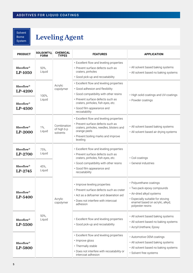## Leveling Agent

| <b>PRODUCT</b>                          | SOLID(WT%),<br><b>FORM</b> | <b>CHEMICAL</b><br><b>TYPES</b>        | <b>FEATURES</b>                                                                                                                                                                              | <b>APPLICATION</b>                                                                                                                                                             |                                                                                                                                    |  |                                                                                       |                      |
|-----------------------------------------|----------------------------|----------------------------------------|----------------------------------------------------------------------------------------------------------------------------------------------------------------------------------------------|--------------------------------------------------------------------------------------------------------------------------------------------------------------------------------|------------------------------------------------------------------------------------------------------------------------------------|--|---------------------------------------------------------------------------------------|----------------------|
| Rheoflow <sup>®</sup><br>LP-1050        | 50%,<br>Liquid             |                                        | • Excellent flow and leveling properties<br>• Prevent surface defects such as<br>craters, pinholes<br>· Good pick-up and recoatability                                                       | · All solvent based baking systems<br>. All solvent based no baking systems                                                                                                    |                                                                                                                                    |  |                                                                                       |                      |
| Rheoflow <sup>®</sup><br><b>LP-4200</b> | 100%,<br>Liquid            | Acrylic<br>copolymer                   | · Excellent flow and leveling properties<br>· Good adhesion and flexibility<br>· Good compatibility with other resins<br>• Prevent surface defects such as                                   | • High solid coatings and UV-coatings                                                                                                                                          |                                                                                                                                    |  |                                                                                       |                      |
| Rheoflow <sup>®</sup><br>LP-4500        |                            |                                        | craters, pinholes, fish eyes, etc.<br>· Good film appearance and<br>recoatability                                                                                                            | • Powder coatings                                                                                                                                                              |                                                                                                                                    |  |                                                                                       |                      |
| Rheoflow <sup>®</sup><br>LP-2000        | $1\%$ ,<br>Liquid          | Combination<br>of high b.p<br>solvents | • Excellent flow and leveling properties<br>· Prevent surface defects such as<br>craters, pinholes, needles, blisters and<br>orange peels<br>• Prevent boiling marks and improve<br>leveling | • All solvent based baking systems<br>• All solvent based air drying systems                                                                                                   |                                                                                                                                    |  |                                                                                       |                      |
| Rheoflow <sup>®</sup><br>LP-2700        | 75%,<br>Liquid             |                                        | · Excellent flow and leveling properties<br>· Prevent surface defects such as<br>craters, pinholes, fish eyes, etc.                                                                          | · Coil coatings                                                                                                                                                                |                                                                                                                                    |  |                                                                                       |                      |
| Rheoflow <sup>®</sup><br>LP-2745        | 45%,<br>Liquid             | Acrylic<br>copolymer<br>50%,<br>Liquid |                                                                                                                                                                                              |                                                                                                                                                                                |                                                                                                                                    |  | · Good compatibility with other resins<br>· Good film appearance and<br>recoatability | · General industries |
| Rheoflow <sup>®</sup><br>LP-5400        |                            |                                        | · Improve leveling properties<br>· Prevent surface defects such as crater<br>• Act as a defoamer and deaeration aid<br>• Does not interfere with intercoat<br>adhesion                       | • Polyurethane coatings<br>· Two-pack epoxy compounds<br>· Air-dried alkyd systems<br>· Especially suitable for stoving<br>enamel based on acrylic, alkyd,<br>polyester resins |                                                                                                                                    |  |                                                                                       |                      |
| Rheoflow <sup>®</sup><br>LP-5500        |                            |                                        | • Excellent flow and leveling properties<br>· Good pick-up and recoatability                                                                                                                 | • All solvent based baking systems<br>· All solvent based no baking systems<br>• Acryl/Urethane, Epoxy                                                                         |                                                                                                                                    |  |                                                                                       |                      |
| Rheoflow <sup>®</sup><br>LP-5800        |                            |                                        |                                                                                                                                                                                              | • Excellent flow and leveling properties<br>· Improve gloss<br>• Thermally stable<br>• Does not interfere with recoatability or<br>intercoat adhesion                          | • Automotive OEM coatings<br>• All solvent based baking systems<br>· All solvent based no baking systems<br>· Solvent free systems |  |                                                                                       |                      |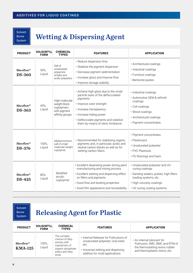### Wetting & Dispersing Agent

| <b>PRODUCT</b>                         | SOLID(WT%),<br><b>FORM</b> | <b>CHEMICAL</b><br><b>TYPES</b>                                                 | <b>FEATURES</b>                                                                                                                                                                                                                                          | <b>APPLICATION</b>                                                                                                                                                                  |
|----------------------------------------|----------------------------|---------------------------------------------------------------------------------|----------------------------------------------------------------------------------------------------------------------------------------------------------------------------------------------------------------------------------------------------------|-------------------------------------------------------------------------------------------------------------------------------------------------------------------------------------|
| Rheoflow <sup>®</sup><br><b>DS-360</b> | 50%,<br>Liquid             | Salt of<br>unsaturated<br>polyamine<br>amides and<br>acidic polyesters          | · Reduce dispersion time<br>· Stabilize the pigment dispersion<br>• Decrease pigment sedimentation<br>· Increase gloss and improve flow<br>· Improve storage stability                                                                                   | · Architectural coatings<br>· Industrial coatings<br>• Furniture coatings<br>· Bentonite pastes                                                                                     |
| Rheoflow <sup>®</sup><br><b>DS-363</b> | 45%,<br>Liquid             | High molecular<br>weight block<br>copolymers<br>with pigment<br>affinity groups | • Achieve high gloss due to the small<br>particle sizes of the deflocculated<br>piaments<br>· Improve color strength<br>· Increase transparency<br>· Increase hiding power<br>· Deflocculate pigments and stabilize<br>them by means of steric hindrance | · Industrial coatings<br>• Automotive OEM & refinish<br>coatings<br>• Coil coatings<br>• Wood coatings<br>· Architectural coatings<br>• Pigment concentrates                        |
| Rheoflow <sup>®</sup><br><b>DS-376</b> | 100%,<br>Liquid            | Alkylammonium<br>salt of a high<br>molecular weight<br>copolymer                | · Recommended for stabilizing organic<br>pigments and, in particular, acidic and<br>neutral carbon blacks as well as for<br>wetting carbon fibers                                                                                                        | · Pigment concentrates<br>• Plasticizers<br>· Unsaturated polyester<br>• PVC Plastisols<br>• PU floorings and foam                                                                  |
| Rheoflow <sup>®</sup><br><b>DS-425</b> | 80%,<br>Liquid             | Modified<br>acrylic<br>copolymer                                                | • Excellent deaerating power during paint<br>manufacturing and mixing process<br>• Excellent wetting and dispersing effect<br>on fillers and pigments<br>. Good flow and leveling properties<br>· Good film appearance and recoatability                 | • Unsaturated polyester and UV-<br>curing coatings<br>· Sanding sealers, putties, high fillers<br>loading systems, etc.<br>• High viscosity coatings<br>• UV curing coating systems |

Solvent Borne **System** 

#### Releasing Agent for Plastic

| <b>PRODUCT</b>                           | SOLID(WT%),<br><b>FORM</b> | <b>CHEMICAL</b><br><b>TYPES</b>                                                                                   | <b>FEATURES</b>                                                                                                                                                | <b>APPLICATION</b>                                                                                                                  |
|------------------------------------------|----------------------------|-------------------------------------------------------------------------------------------------------------------|----------------------------------------------------------------------------------------------------------------------------------------------------------------|-------------------------------------------------------------------------------------------------------------------------------------|
| $Rheoflow^{\circledR}$<br><b>KMA-125</b> | 100%,<br>Liquid            | The complex<br>mixture of fatty<br>amines with<br>copolymers of<br>organic phosphate<br>esters and fatty<br>acids | • Internal Releaser for Pultrusions of<br>unsaturated polyester, vinyl ester,<br>etc.<br>• Universal wetting and dispersing<br>additive for mold applications. | • An internal lubricant for<br>Pultrusion, SMC, BMC and RTM of<br>the thermosetting resins rubber<br>and thermoplastic resins, etc. |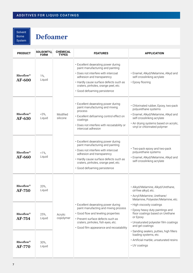#### Defoamer

| <b>PRODUCT</b>                         | SOLID(WT%),<br><b>FORM</b> | <b>CHEMICAL</b><br><b>TYPES</b> | <b>FEATURES</b>                                                                                                                                                                                                                                               | <b>APPLICATION</b>                                                                                                                                                         |                                                                                                                                                                                                             |                                                                                                                                                                                                              |
|----------------------------------------|----------------------------|---------------------------------|---------------------------------------------------------------------------------------------------------------------------------------------------------------------------------------------------------------------------------------------------------------|----------------------------------------------------------------------------------------------------------------------------------------------------------------------------|-------------------------------------------------------------------------------------------------------------------------------------------------------------------------------------------------------------|--------------------------------------------------------------------------------------------------------------------------------------------------------------------------------------------------------------|
| Rheoflow <sup>®</sup><br>AF-600        | $1\%$ ,<br>Liquid          | Modified<br>silicone            | • Excellent deaerating power during<br>paint manufacturing and painting<br>• Does not interfere with intercoat<br>adhesion and transparency<br>• Hardly cause surface defects such as<br>craters, pinholes, orange peel, etc.<br>· Good defoaming persistence | · Enamel, Alkyd/Melamine, Alkyd and<br>self-crosslinking acrylate<br>• Epoxy flooring                                                                                      |                                                                                                                                                                                                             |                                                                                                                                                                                                              |
| Rheoflow <sup>®</sup><br>AF-630        | $<3\%$ ,<br>Liquid         |                                 |                                                                                                                                                                                                                                                               |                                                                                                                                                                            | • Excellent deaerating power during<br>paint manufacturing and mixing<br>process<br>• Excellent defoaming control effect on<br>coatings<br>· Does not interfere with recoatability or<br>intercoat adhesion | • Chlorinated rubber, Epoxy, two-pack<br>polyurethane systems<br>· Enamel, Alkyd/Melamine, Alkyd and<br>self-crosslinking acrylate<br>· Air drying systems based on acrylic,<br>vinyl or chlorinated polymer |
| Rheoflow <sup>®</sup><br>AF-660        | $< 1\%$ ,<br>Liquid        |                                 | • Excellent deaerating power during<br>paint manufacturing and painting<br>• Does not interfere with intercoat<br>adhesion and transparency<br>• Hardly cause surface defects such as<br>craters, pinholes, orange peel, etc.<br>· Good defoaming persistence | • Two-pack epoxy and two-pack<br>polyurethane systems<br>· Enamel, Alkyd/Melamine, Alkyd and<br>self-crosslinking acrylate                                                 |                                                                                                                                                                                                             |                                                                                                                                                                                                              |
| Rheoflow <sup>®</sup><br><b>AF-750</b> | 20%,<br>Liquid             | Acrylic<br>copolymer            |                                                                                                                                                                                                                                                               |                                                                                                                                                                            | · Alkyd/Melamine, Alkyd/Urethane,<br>oil-free alkyd, etc.<br>· Acryl/Melamine, Urethane/<br>Melamine, Polyester/Melamine, etc.                                                                              |                                                                                                                                                                                                              |
| Rheoflow <sup>®</sup><br>AF-754        | 25%,<br>Liquid             |                                 | • Excellent deaerating power during<br>paint manufacting and mixing process<br>· Good flow and leveling properties<br>· Prevent surface defects such as<br>craters, pinholes, fish eyes, etc.<br>· Good film appearance and recoatability                     | • High viscosity coatings<br>• Epoxy heavy duty paintings and<br>floor coatings based on Urethane<br>or Epoxy<br>• Unsaturated polyester film coatings<br>and gel coatings |                                                                                                                                                                                                             |                                                                                                                                                                                                              |
| Rheoflow <sup>®</sup><br><b>AF-770</b> | 30%,<br>Liquid             |                                 |                                                                                                                                                                                                                                                               | · Sanding sealers, putties, high fillers<br>loading systems, etc.<br>· Artificial marble, unsaturated resins<br>• UV coatings                                              |                                                                                                                                                                                                             |                                                                                                                                                                                                              |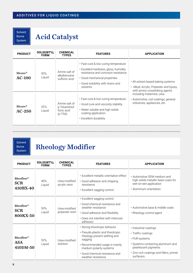## Acid Catalyst

| <b>PRODUCT</b>                  | SOLID(WT%),<br><b>FORM</b> | <b>CHEMICAL</b><br><b>TYPES</b>                           | <b>FEATURES</b>                                                                                                                                                                                       | <b>APPLICATION</b>                                                                                            |
|---------------------------------|----------------------------|-----------------------------------------------------------|-------------------------------------------------------------------------------------------------------------------------------------------------------------------------------------------------------|---------------------------------------------------------------------------------------------------------------|
| Hicure <sup>®</sup><br>$AC-100$ | 50%.<br>Liquid             | Amine salt of<br>alkylbenzene<br>sulfonic acid            | • Fast cure & low curing temperature<br>• Excellent hardness, gloss, humidity<br>resistance and corrosion resistance<br>• Good mechanical properties<br>. Good solubility with resins and<br>solvents | • All solvent based baking systems<br>• Alkyd, Acrylic, Polyester and Epoxy<br>with amino crosslinking agents |
| Hicure <sup>®</sup><br>$AC-250$ | $32\%$<br>Liguid           | Amine salt of<br>p-Toluenesul-<br>fonic acid<br>$(p-TSA)$ | • Fast cure & low curing temperature<br>• Good cure and viscosity stability<br>• Water soluble and high solids<br>coating application<br>• Excellent durability                                       | including melamine, urea<br>• Automotive, coil coatings, general<br>industries, appliances, etc.              |

Solvent Borne System

### Rheology Modifier

| <b>PRODUCT</b>                                   | SOLID(WT%),<br><b>FORM</b> | <b>CHEMICAL</b><br><b>TYPES</b>  | <b>FEATURES</b>                                                                                                                                                                                                                   | <b>APPLICATION</b>                                                                                                                                                                 |
|--------------------------------------------------|----------------------------|----------------------------------|-----------------------------------------------------------------------------------------------------------------------------------------------------------------------------------------------------------------------------------|------------------------------------------------------------------------------------------------------------------------------------------------------------------------------------|
| $Rheoflow^{\circledR}$<br><b>SCR</b><br>430BX-40 | 40%.<br>Liquid             | Urea-modified<br>acrylic resin   | • Excellent metallic orientation effect<br>• Good adhesion and chipping<br>resistance<br>• Excellent sagging control                                                                                                              | • Automotive OEM medium and<br>high solids metallic base coats for<br>wet-on-wet application<br>• Aluminium orientation                                                            |
| $Rheoflow^{\circledR}$<br><b>SCR</b><br>800KX-50 | 50%.<br>Liquid             | Urea-modified<br>polyester resin | • Excellent sagging control<br>• Good chemical resistance and<br>weather resistance<br>• Good adhesion and flexibility<br>• Does not interfere with intercoat<br>adhesion                                                         | • Automotive base & middle coats<br>• Rheology control agent                                                                                                                       |
| $Rheoflow^{\circledR}$<br><b>ASA</b><br>410DM-50 | 52%,<br>Liquid             | Urea-modified<br>solution        | · Strong thixotropic behavior<br>• Pseudo-plastic and thixotropic<br>rheology prevent settling and<br>sagging<br>• Recommended usage is mainly<br>medium polarity systems<br>• Good chemical resistance and<br>weather resistance | · Industrial coatings<br>• Traffic coatings<br>• PUR-systems<br>· Systems containing aluminum and<br>pearlescent pigments<br>· Zinc-rich coatings and fillers, primer<br>surfacers |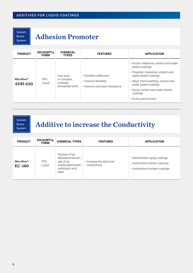#### Adhesion Promoter

| <b>PRODUCT</b>                           | SOLID(WT%),<br><b>FORM</b> | <b>CHEMICAL</b><br><b>TYPES</b>                        | <b>FEATURES</b>                                                                  | <b>APPLICATION</b>                                                                                                                                                                                                                                          |
|------------------------------------------|----------------------------|--------------------------------------------------------|----------------------------------------------------------------------------------|-------------------------------------------------------------------------------------------------------------------------------------------------------------------------------------------------------------------------------------------------------------|
| $Rheoflow^{\circledR}$<br><b>ADH-630</b> | 56%.<br>Liquid             | Free acid<br>of complex<br>carboxyl<br>phosphate ester | • Excellent adhension<br>• Improve flexibility<br>. Improve corrosion resistance | • Acrylic melamine, solvent and water<br>based coatings<br>• Polyester melamine, solvent and<br>water based coatings<br>• Alkyd, thermosetting, solvent and<br>water based coatings<br>• Epoxy, solvent and water based<br>coatings<br>• Acid-cured primers |

Solvent Borne **System** 

### Additive to increase the Conductivity

| <b>PRODUCT</b>                          | SOLID(WT%),<br><b>FORM</b> | <b>CHEMICAL TYPES</b>                                                                             | <b>FEATURES</b>                           | <b>APPLICATION</b>                                                                               |
|-----------------------------------------|----------------------------|---------------------------------------------------------------------------------------------------|-------------------------------------------|--------------------------------------------------------------------------------------------------|
| $Rheoflow^{\circledR}$<br><b>EC-180</b> | 70%,<br>Liquid             | Solution of an<br>alkylolammonium<br>salt of an<br>unsaturated acidic<br>carboxylic acid<br>ester | • Increase the electrical<br>conductivity | • Electrostatic spray coatings<br>• Automotive interior coatings<br>• Automotive bumper coatings |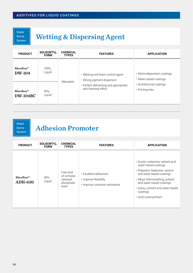Water Borne System

## Wetting & Dispersing Agent

| <b>PRODUCT</b>         | SOLID(WT%),<br><b>FORM</b> | <b>CHEMICAL</b><br><b>TYPES</b> | <b>FEATURES</b>                     | <b>APPLICATION</b>           |
|------------------------|----------------------------|---------------------------------|-------------------------------------|------------------------------|
| $Rheoflow^{\circledR}$ | 100%,                      |                                 | • Wetting and foam control agent    | • Electrodeposition coatings |
| <b>DW-104</b>          | Liquid                     |                                 | • Strong pigment dispersion         | • Water based coatings       |
| $Rheoflow^{\circledR}$ | 50%,                       | Alkoxylate                      | • Perfect defoaming and appropriate | • Architectural coatings     |
| <b>DW-104BC</b>        | Liquid                     |                                 | anti-foaming effect                 | • Printing inks              |

Water Borne System

#### Adhesion Promoter

| <b>PRODUCT</b>                           | SOLID(WT%),<br><b>FORM</b> | <b>CHEMICAL</b><br><b>TYPES</b>                           | <b>FEATURES</b>                                                                  | <b>APPLICATION</b>                                                                                                                                                                                                                                          |
|------------------------------------------|----------------------------|-----------------------------------------------------------|----------------------------------------------------------------------------------|-------------------------------------------------------------------------------------------------------------------------------------------------------------------------------------------------------------------------------------------------------------|
| $Rheoflow^{\circledR}$<br><b>ADH-630</b> | 56%,<br>Liquid             | Free acid<br>of complex<br>carboxyl<br>phosphate<br>ester | • Excellent adhension<br>• Improve flexibility<br>· Improve corrosion resistance | • Acrylic melamine, solvent and<br>water based coatings<br>· Polyester melamine, solvent<br>and water based coatings<br>• Alkyd, thermosetting, solvent<br>and water based coatings<br>• Epoxy, solvent and water based<br>coatings<br>• Acid-cured primers |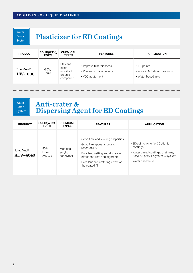Water Borne System

#### Plasticizer for ED Coatings

| <b>PRODUCT</b>                           | SOLID(WT%),<br><b>FORM</b> | <b>CHEMICAL</b><br><b>TYPES</b>                      | <b>FEATURES</b>                                                          | <b>APPLICATION</b>                                                       |
|------------------------------------------|----------------------------|------------------------------------------------------|--------------------------------------------------------------------------|--------------------------------------------------------------------------|
| $Rheoflow^{\circledR}$<br><b>DW-1000</b> | $>90\%$<br>Liquid          | Ethylene<br>oxide<br>modified<br>organic<br>compound | . Improve film thickness<br>• Prevent surface defects<br>• VOC abatement | $\cdot$ ED-paints<br>• Anionic & Cationic coatings<br>• Water based inks |

Water Borne System

#### Anti-crater & Dispersing Agent for ED Coatings

| <b>PRODUCT</b>                           | SOLID(WT%),<br><b>FORM</b> | <b>CHEMICAL</b><br><b>TYPES</b>  | <b>FEATURES</b>                                                                                                                                                                                                       | <b>APPLICATION</b>                                                                                                                               |
|------------------------------------------|----------------------------|----------------------------------|-----------------------------------------------------------------------------------------------------------------------------------------------------------------------------------------------------------------------|--------------------------------------------------------------------------------------------------------------------------------------------------|
| Rheoflow <sup>®</sup><br><b>ACW-4040</b> | 40%.<br>Liguid<br>(Water)  | Modified<br>acrylic<br>copolymer | • Good flow and leveling properties<br>• Good film appearance and<br>recoatability<br>• Excellent wetting and dispersing<br>effect on fillers and pigments<br>• Excellent anti-cratering effect on<br>the coated film | • ED-paints: Anionic & Cationic<br>coatings<br>• Water based coatings: Urethane,<br>Acrylic, Epoxy, Polyester, Alkyd, etc.<br>• Water based inks |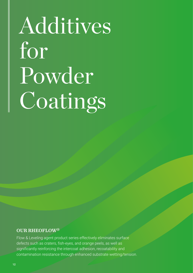# Additives for Powder Coatings

#### OUR RHEOFLOW®

Flow & Leveling agent product series effectively eliminates surface defects such as craters, fish-eyes, and orange peels, as well as significantly reinforcing the intercoat adhesion, recoatability and contamination resistance through enhanced substrate wetting/tension.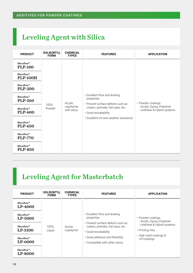### Leveling Agent with Silica

| <b>PRODUCT</b>                           | SOLID(WT%),<br><b>FORM</b> | <b>CHEMICAL</b><br><b>TYPES</b>     | <b>FEATURES</b>                                                                                                                                                                         | <b>APPLICATION</b>                                                              |
|------------------------------------------|----------------------------|-------------------------------------|-----------------------------------------------------------------------------------------------------------------------------------------------------------------------------------------|---------------------------------------------------------------------------------|
| Rheoflow <sup>®</sup><br><b>PLP-100</b>  | 100%,<br>Powder            | Acrylic<br>copolymer<br>with silica | • Excellent flow and leveling<br>properties<br>• Prevent surface defects such as<br>craters, pinholes, fish eyes, etc.<br>· Good recoatability<br>• Excellent UV and weather resistance | • Powder coatings<br>- Acrylic, Epoxy, Polyetser<br>- Urethane & Hybrid systems |
| Rheoflow <sup>®</sup><br><b>PLP-100H</b> |                            |                                     |                                                                                                                                                                                         |                                                                                 |
| Rheoflow <sup>®</sup><br><b>PLP-200</b>  |                            |                                     |                                                                                                                                                                                         |                                                                                 |
| Rheoflow <sup>®</sup><br><b>PLP-560</b>  |                            |                                     |                                                                                                                                                                                         |                                                                                 |
| Rheoflow <sup>®</sup><br><b>PLP-600</b>  |                            |                                     |                                                                                                                                                                                         |                                                                                 |
| Rheoflow <sup>®</sup><br><b>PLP-650</b>  |                            |                                     |                                                                                                                                                                                         |                                                                                 |
| Rheoflow <sup>®</sup><br><b>PLP-770</b>  |                            |                                     |                                                                                                                                                                                         |                                                                                 |
| Rheoflow <sup>®</sup><br><b>PLP-850</b>  |                            |                                     |                                                                                                                                                                                         |                                                                                 |

#### Leveling Agent for Masterbatch

| <b>PRODUCT</b>                          | SOLID(WT%),<br><b>FORM</b> | <b>CHEMICAL</b><br><b>TYPES</b> | <b>FEATURES</b>                                                                                                                                                                                                     | <b>APPLICATION</b>                                                                                                                           |
|-----------------------------------------|----------------------------|---------------------------------|---------------------------------------------------------------------------------------------------------------------------------------------------------------------------------------------------------------------|----------------------------------------------------------------------------------------------------------------------------------------------|
| $Rheoflow^{\circledR}$<br>LP-4000       | 100%,<br>Liguid            | Acrylic<br>copolymer            |                                                                                                                                                                                                                     | • Powder coatings<br>- Acrylic, Epoxy, Polyetser<br>- Urethane & Hybrid systems<br>• Printing inks<br>• High solid coatings &<br>UV-coatings |
| $Rheoflow^{\circledR}$<br>LP-5000       |                            |                                 | • Excellent flow and leveling<br>properties<br>• Prevent surface defects such as<br>craters, pinholes, fish eyes, etc.<br>• Good recoatability<br>• Good adhesion and flexibility<br>• Compatible with other resins |                                                                                                                                              |
| $Rheoflow^{\circledR}$<br>LP-5100       |                            |                                 |                                                                                                                                                                                                                     |                                                                                                                                              |
| $Rheoflow^@$<br>LP-6000                 |                            |                                 |                                                                                                                                                                                                                     |                                                                                                                                              |
| Rheoflow <sup>®</sup><br><b>LP-8000</b> |                            |                                 |                                                                                                                                                                                                                     |                                                                                                                                              |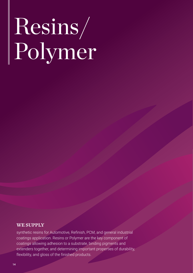# Resins/ Polymer

+

#### we supply

synthetic resins for Automotive, Refinish, PCM, and general industrial coatings application. Resins or Polymer are the key component of coatings allowing adhesion to a substrate, binding pigments and extenders together, and determining important properties of durability, flexibility, and gloss of the finished products.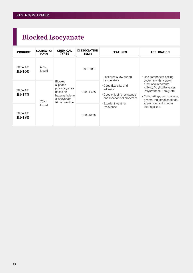## Blocked Isocyanate

| <b>PRODUCT</b>                          | SOLID(WT%),<br><b>FORM</b> | <b>CHEMICAL</b><br><b>TYPES</b>                                                                               | <b>DISSOCIATION</b><br>TEMP. | <b>FEATURES</b>                                                                                                                                   | <b>APPLICATION</b>                                                                                                                                                                                                                                 |
|-----------------------------------------|----------------------------|---------------------------------------------------------------------------------------------------------------|------------------------------|---------------------------------------------------------------------------------------------------------------------------------------------------|----------------------------------------------------------------------------------------------------------------------------------------------------------------------------------------------------------------------------------------------------|
| $Hilhlock^{\circledR}$<br><b>BI-160</b> | 60%,<br>Liquid             |                                                                                                               | 90~100 $°C$                  | • Fast cure & low curing                                                                                                                          | · One component baking<br>systems with hydroxyl<br>functional reactants<br>- Alkyd, Acrylic, Polyetser,<br>Polyurethane, Epoxy, etc.<br>• Coil coatings, can coatings,<br>general industrial coatings,<br>appliances, automotive<br>coatings, etc. |
| $Hilhlock^{\circledR}$<br><b>BI-175</b> | 75%,                       | <b>Blocked</b><br>aliphatic<br>polyisocyanate<br>based on<br>hexamethylene<br>diisocyanate<br>trimer solution | 140~150℃                     | temperature<br>· Good flexibility and<br>adhesion<br>• Good chipping resistance<br>and mechanical properties<br>• Excellent weather<br>resistance |                                                                                                                                                                                                                                                    |
| $Hilhlock^{\circledR}$<br><b>BI-180</b> | Liquid                     |                                                                                                               | 120~130℃                     |                                                                                                                                                   |                                                                                                                                                                                                                                                    |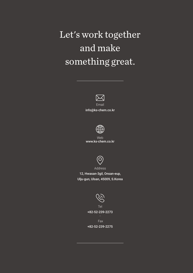## Let's work together and make something great.



Email info@ks-chem.co.kr



Web www.ks-chem.co.kr



Address

12, Hwasan-3gil, Onsan-eup, Ulju-gun, Ulsan, 45009, S.Korea



Tel +82-52-239-2273

Fax +82-52-239-2275